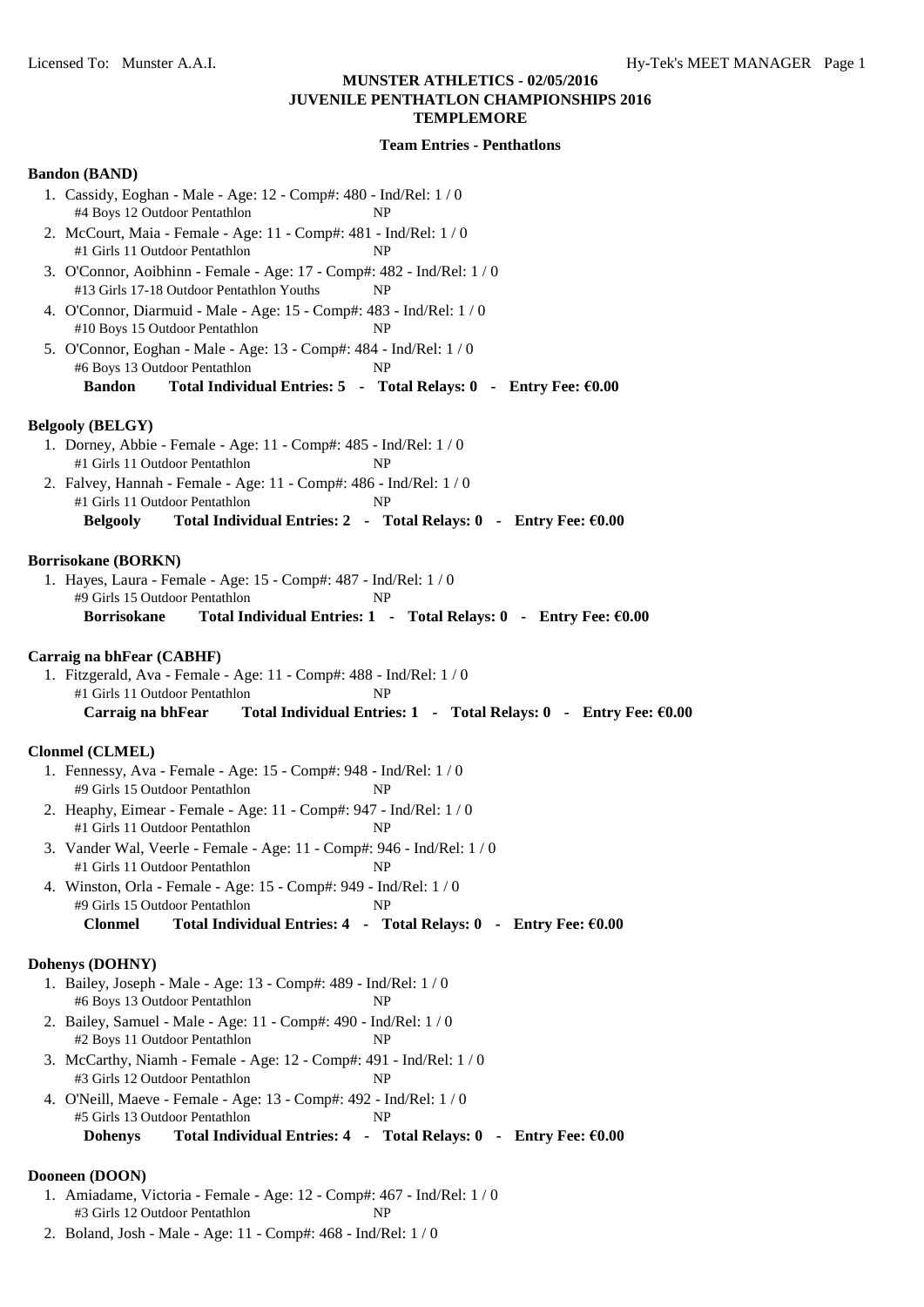# **Team Entries - Penthatlons**

# **Bandon (BAND)**

| DANUVII (DANVD)                                                                                                                                                                                |
|------------------------------------------------------------------------------------------------------------------------------------------------------------------------------------------------|
| 1. Cassidy, Eoghan - Male - Age: 12 - Comp#: 480 - Ind/Rel: 1/0<br>#4 Boys 12 Outdoor Pentathlon<br>NP                                                                                         |
| 2. McCourt, Maia - Female - Age: 11 - Comp#: 481 - Ind/Rel: 1/0<br>#1 Girls 11 Outdoor Pentathlon<br>NP                                                                                        |
| 3. O'Connor, Aoibhinn - Female - Age: 17 - Comp#: 482 - Ind/Rel: 1 / 0<br>#13 Girls 17-18 Outdoor Pentathlon Youths<br>NP                                                                      |
| 4. O'Connor, Diarmuid - Male - Age: 15 - Comp#: 483 - Ind/Rel: 1 / 0<br>#10 Boys 15 Outdoor Pentathlon<br>NP                                                                                   |
| 5. O'Connor, Eoghan - Male - Age: 13 - Comp#: 484 - Ind/Rel: 1 / 0<br>#6 Boys 13 Outdoor Pentathlon<br>NP<br><b>Bandon</b><br>Total Individual Entries: 5 - Total Relays: 0 - Entry Fee: €0.00 |
| <b>Belgooly (BELGY)</b>                                                                                                                                                                        |
| 1. Dorney, Abbie - Female - Age: 11 - Comp#: 485 - Ind/Rel: 1 / 0<br>#1 Girls 11 Outdoor Pentathlon<br>NP                                                                                      |
| 2. Falvey, Hannah - Female - Age: 11 - Comp#: 486 - Ind/Rel: 1 / 0<br>#1 Girls 11 Outdoor Pentathlon<br>NP                                                                                     |
| Total Individual Entries: 2 - Total Relays: 0 - Entry Fee: €0.00<br><b>Belgooly</b>                                                                                                            |
| <b>Borrisokane (BORKN)</b>                                                                                                                                                                     |
| 1. Hayes, Laura - Female - Age: 15 - Comp#: 487 - Ind/Rel: 1 / 0<br>#9 Girls 15 Outdoor Pentathlon<br>NP                                                                                       |
| Total Individual Entries: 1 - Total Relays: 0 - Entry Fee: €0.00<br><b>Borrisokane</b>                                                                                                         |
| Carraig na bhFear (CABHF)                                                                                                                                                                      |
| 1. Fitzgerald, Ava - Female - Age: 11 - Comp#: 488 - Ind/Rel: 1 / 0                                                                                                                            |
| #1 Girls 11 Outdoor Pentathlon<br>NP<br>Carraig na bhFear<br>Total Individual Entries: $1 -$ Total Relays: $0 -$ Entry Fee: $60.00$                                                            |
|                                                                                                                                                                                                |
| <b>Clonmel (CLMEL)</b>                                                                                                                                                                         |
| 1. Fennessy, Ava - Female - Age: 15 - Comp#: 948 - Ind/Rel: 1 / 0<br>#9 Girls 15 Outdoor Pentathlon<br>NP                                                                                      |
| 2. Heaphy, Eimear - Female - Age: 11 - Comp#: 947 - Ind/Rel: 1 / 0<br>#1 Girls 11 Outdoor Pentathlon<br>NP                                                                                     |
| 3. Vander Wal, Veerle - Female - Age: 11 - Comp#: 946 - Ind/Rel: 1 / 0<br>#1 Girls 11 Outdoor Pentathlon<br>NP                                                                                 |
| 4. Winston, Orla - Female - Age: 15 - Comp#: 949 - Ind/Rel: 1 / 0<br>#9 Girls 15 Outdoor Pentathlon<br>NP                                                                                      |
| Total Individual Entries: 4 - Total Relays: 0 - Entry Fee: €0.00<br><b>Clonmel</b>                                                                                                             |
| Dohenys (DOHNY)                                                                                                                                                                                |
| 1. Bailey, Joseph - Male - Age: 13 - Comp#: 489 - Ind/Rel: 1 / 0<br>#6 Boys 13 Outdoor Pentathlon<br>NP                                                                                        |
| 2. Bailey, Samuel - Male - Age: 11 - Comp#: 490 - Ind/Rel: 1 / 0<br>#2 Boys 11 Outdoor Pentathlon<br>NP                                                                                        |
| 3. McCarthy, Niamh - Female - Age: 12 - Comp#: 491 - Ind/Rel: 1 / 0<br>#3 Girls 12 Outdoor Pentathlon<br>NP.                                                                                   |
| 4. O'Neill, Maeve - Female - Age: 13 - Comp#: 492 - Ind/Rel: 1 / 0<br>#5 Girls 13 Outdoor Pentathlon<br>NP                                                                                     |
| Total Individual Entries: 4 - Total Relays: 0 - Entry Fee: €0.00<br><b>Dohenys</b>                                                                                                             |
| Dooneen (DOON)                                                                                                                                                                                 |
| 1. Amiadame, Victoria - Female - Age: 12 - Comp#: 467 - Ind/Rel: 1 / 0<br>#3 Girls 12 Outdoor Pentathlon<br>NP                                                                                 |

2. Boland, Josh - Male - Age: 11 - Comp#: 468 - Ind/Rel: 1 / 0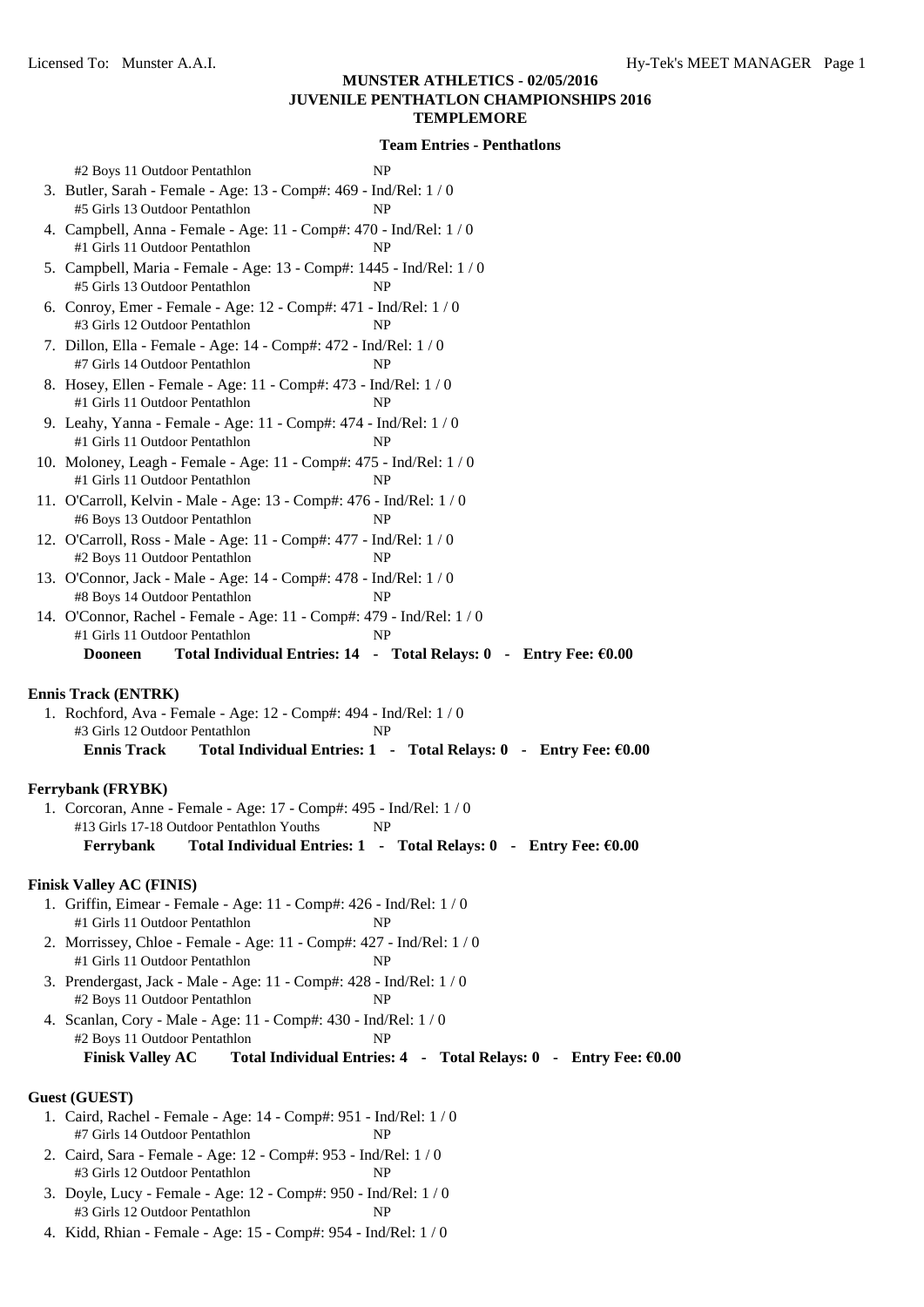| #2 Boys 11 Outdoor Pentathlon                                                                              | NP                                                                |
|------------------------------------------------------------------------------------------------------------|-------------------------------------------------------------------|
| 3. Butler, Sarah - Female - Age: 13 - Comp#: 469 - Ind/Rel: 1 / 0                                          |                                                                   |
| #5 Girls 13 Outdoor Pentathlon<br>NP                                                                       |                                                                   |
| 4. Campbell, Anna - Female - Age: 11 - Comp#: 470 - Ind/Rel: 1 / 0<br>#1 Girls 11 Outdoor Pentathlon<br>NP |                                                                   |
| 5. Campbell, Maria - Female - Age: 13 - Comp#: 1445 - Ind/Rel: 1 / 0                                       |                                                                   |
| #5 Girls 13 Outdoor Pentathlon<br>NP                                                                       |                                                                   |
| 6. Conroy, Emer - Female - Age: 12 - Comp#: 471 - Ind/Rel: 1 / 0<br>#3 Girls 12 Outdoor Pentathlon         | NP                                                                |
| 7. Dillon, Ella - Female - Age: 14 - Comp#: 472 - Ind/Rel: 1 / 0<br>#7 Girls 14 Outdoor Pentathlon         | NP                                                                |
| 8. Hosey, Ellen - Female - Age: 11 - Comp#: 473 - Ind/Rel: 1 / 0<br>#1 Girls 11 Outdoor Pentathlon         | NP                                                                |
| 9. Leahy, Yanna - Female - Age: 11 - Comp#: 474 - Ind/Rel: 1 / 0<br>#1 Girls 11 Outdoor Pentathlon         | NP                                                                |
| 10. Moloney, Leagh - Female - Age: 11 - Comp#: 475 - Ind/Rel: 1 / 0<br>#1 Girls 11 Outdoor Pentathlon      |                                                                   |
| NP<br>11. O'Carroll, Kelvin - Male - Age: 13 - Comp#: 476 - Ind/Rel: 1 / 0                                 |                                                                   |
| #6 Boys 13 Outdoor Pentathlon                                                                              | NP                                                                |
| 12. O'Carroll, Ross - Male - Age: 11 - Comp#: 477 - Ind/Rel: 1 / 0                                         |                                                                   |
| #2 Boys 11 Outdoor Pentathlon                                                                              | NP                                                                |
| 13. O'Connor, Jack - Male - Age: 14 - Comp#: 478 - Ind/Rel: 1 / 0<br>#8 Boys 14 Outdoor Pentathlon<br>NP   |                                                                   |
| 14. O'Connor, Rachel - Female - Age: 11 - Comp#: 479 - Ind/Rel: 1 / 0                                      |                                                                   |
| #1 Girls 11 Outdoor Pentathlon                                                                             | NP                                                                |
| <b>Dooneen</b>                                                                                             | Total Individual Entries: 14 - Total Relays: 0 - Entry Fee: €0.00 |
|                                                                                                            |                                                                   |
| <b>Ennis Track (ENTRK)</b><br>1. Rochford, Ava - Female - Age: 12 - Comp#: 494 - Ind/Rel: 1 / 0            |                                                                   |
| #3 Girls 12 Outdoor Pentathlon<br>NP                                                                       |                                                                   |
| <b>Ennis Track</b>                                                                                         | Total Individual Entries: 1 - Total Relays: 0 - Entry Fee: €0.00  |
|                                                                                                            |                                                                   |
| Ferrybank (FRYBK)<br>1. Corcoran, Anne - Female - Age: 17 - Comp#: 495 - Ind/Rel: 1 / 0                    |                                                                   |
| #13 Girls 17-18 Outdoor Pentathlon Youths                                                                  | NP                                                                |
| Ferrybank Total Individual Entries: 1 - Total Relays: 0 - Entry Fee: €0.00                                 |                                                                   |
|                                                                                                            |                                                                   |
| <b>Finisk Valley AC (FINIS)</b>                                                                            |                                                                   |
| 1. Griffin, Eimear - Female - Age: 11 - Comp#: 426 - Ind/Rel: 1/0<br>#1 Girls 11 Outdoor Pentathlon        | NP                                                                |
| 2. Morrissey, Chloe - Female - Age: 11 - Comp#: 427 - Ind/Rel: 1 / 0                                       |                                                                   |
| #1 Girls 11 Outdoor Pentathlon                                                                             | NP                                                                |
| 3. Prendergast, Jack - Male - Age: 11 - Comp#: 428 - Ind/Rel: 1 / 0<br>#2 Boys 11 Outdoor Pentathlon       | NP                                                                |
| 4. Scanlan, Cory - Male - Age: 11 - Comp#: 430 - Ind/Rel: 1 / 0<br>#2 Boys 11 Outdoor Pentathlon<br>NP     |                                                                   |
| <b>Finisk Valley AC</b>                                                                                    | Total Individual Entries: 4 - Total Relays: 0 - Entry Fee: €0.00  |
|                                                                                                            |                                                                   |
| <b>Guest (GUEST)</b>                                                                                       |                                                                   |
| 1. Caird, Rachel - Female - Age: 14 - Comp#: 951 - Ind/Rel: 1 / 0<br>#7 Girls 14 Outdoor Pentathlon        | NP                                                                |
| 2. Caird, Sara - Female - Age: 12 - Comp#: 953 - Ind/Rel: 1 / 0                                            |                                                                   |
| #3 Girls 12 Outdoor Pentathlon                                                                             | NP                                                                |

- 3. Doyle, Lucy Female Age: 12 Comp#: 950 Ind/Rel: 1 / 0 #3 Girls 12 Outdoor Pentathlon NP
- 4. Kidd, Rhian Female Age: 15 Comp#: 954 Ind/Rel: 1 / 0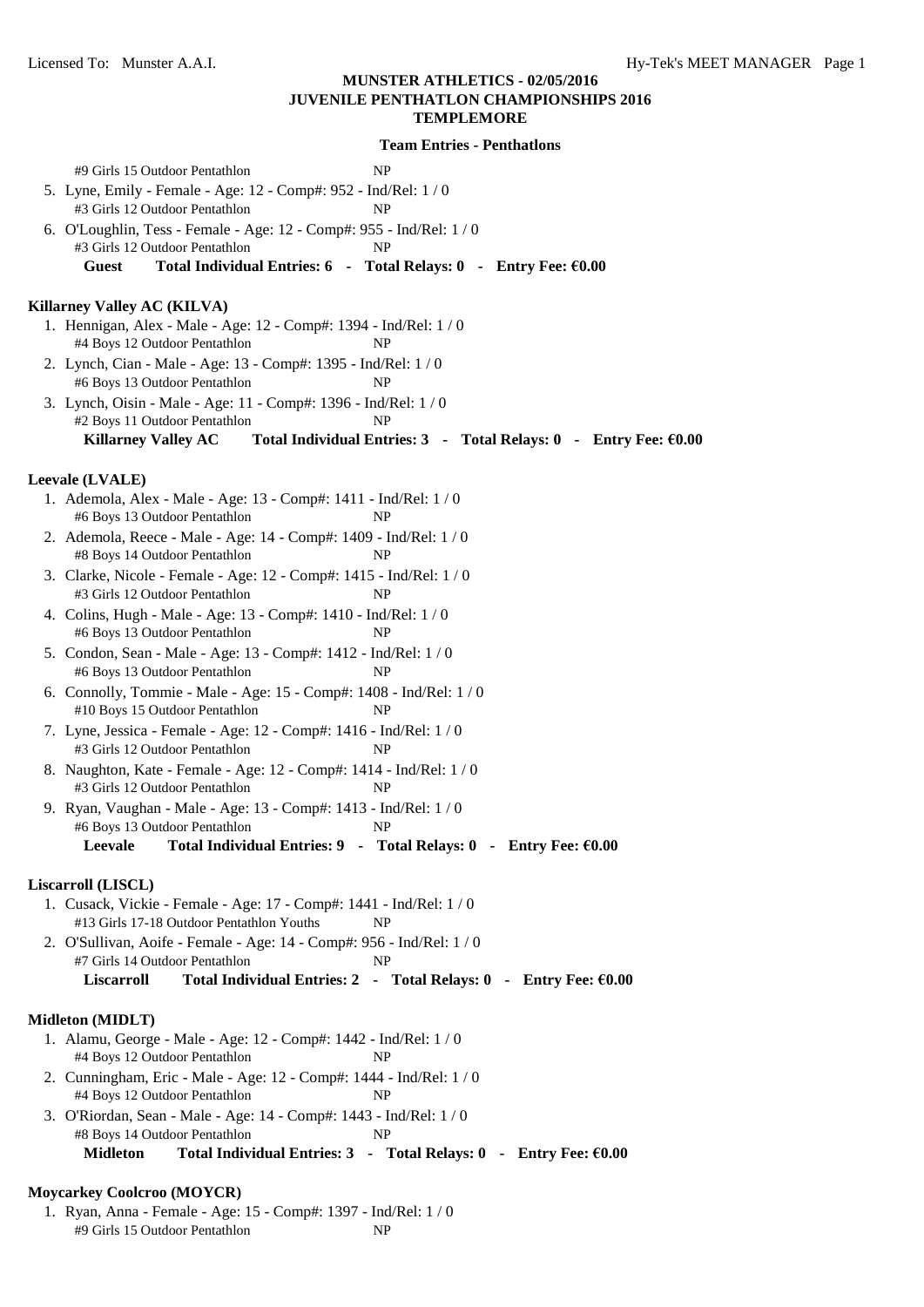**Team Entries - Penthatlons** #9 Girls 15 Outdoor Pentathlon NP 5. Lyne, Emily - Female - Age: 12 - Comp#: 952 - Ind/Rel: 1 / 0 #3 Girls 12 Outdoor Pentathlon NP 6. O'Loughlin, Tess - Female - Age: 12 - Comp#: 955 - Ind/Rel: 1 / 0 #3 Girls 12 Outdoor Pentathlon NP **Guest Total Individual Entries: 6 - Total Relays: 0 - Entry Fee: €0.00 Killarney Valley AC (KILVA)** 1. Hennigan, Alex - Male - Age: 12 - Comp#: 1394 - Ind/Rel: 1 / 0 #4 Boys 12 Outdoor Pentathlon NP 2. Lynch, Cian - Male - Age: 13 - Comp#: 1395 - Ind/Rel: 1 / 0 #6 Boys 13 Outdoor Pentathlon NP 3. Lynch, Oisin - Male - Age: 11 - Comp#: 1396 - Ind/Rel: 1 / 0 #2 Boys 11 Outdoor Pentathlon NP **Killarney Valley AC Total Individual Entries: 3 - Total Relays: 0 - Entry Fee: €0.00 Leevale (LVALE)** 1. Ademola, Alex - Male - Age: 13 - Comp#: 1411 - Ind/Rel: 1 / 0 #6 Boys 13 Outdoor Pentathlon NP 2. Ademola, Reece - Male - Age: 14 - Comp#: 1409 - Ind/Rel: 1 / 0 #8 Boys 14 Outdoor Pentathlon NP 3. Clarke, Nicole - Female - Age: 12 - Comp#: 1415 - Ind/Rel: 1 / 0 #3 Girls 12 Outdoor Pentathlon NP 4. Colins, Hugh - Male - Age: 13 - Comp#: 1410 - Ind/Rel: 1 / 0 #6 Boys 13 Outdoor Pentathlon NP 5. Condon, Sean - Male - Age: 13 - Comp#: 1412 - Ind/Rel: 1 / 0 #6 Boys 13 Outdoor Pentathlon NP 6. Connolly, Tommie - Male - Age: 15 - Comp#: 1408 - Ind/Rel: 1 / 0 #10 Boys 15 Outdoor Pentathlon NP 7. Lyne, Jessica - Female - Age: 12 - Comp#: 1416 - Ind/Rel: 1 / 0 #3 Girls 12 Outdoor Pentathlon NP 8. Naughton, Kate - Female - Age: 12 - Comp#: 1414 - Ind/Rel: 1 / 0 #3 Girls 12 Outdoor Pentathlon NP 9. Ryan, Vaughan - Male - Age: 13 - Comp#: 1413 - Ind/Rel: 1 / 0 #6 Boys 13 Outdoor Pentathlon NP **Leevale Total Individual Entries: 9 - Total Relays: 0 - Entry Fee: €0.00 Liscarroll (LISCL)** 1. Cusack, Vickie - Female - Age: 17 - Comp#: 1441 - Ind/Rel: 1 / 0 #13 Girls 17-18 Outdoor Pentathlon Youths NP 2. O'Sullivan, Aoife - Female - Age: 14 - Comp#: 956 - Ind/Rel: 1 / 0 #7 Girls 14 Outdoor Pentathlon NP **Liscarroll Total Individual Entries: 2 - Total Relays: 0 - Entry Fee: €0.00 Midleton (MIDLT)** 1. Alamu, George - Male - Age: 12 - Comp#: 1442 - Ind/Rel: 1 / 0 #4 Boys 12 Outdoor Pentathlon NP 2. Cunningham, Eric - Male - Age: 12 - Comp#: 1444 - Ind/Rel: 1 / 0 #4 Boys 12 Outdoor Pentathlon NP 3. O'Riordan, Sean - Male - Age: 14 - Comp#: 1443 - Ind/Rel: 1 / 0 #8 Boys 14 Outdoor Pentathlon NP **Midleton Total Individual Entries: 3 - Total Relays: 0 - Entry Fee: €0.00**

#### **Moycarkey Coolcroo (MOYCR)**

1. Ryan, Anna - Female - Age: 15 - Comp#: 1397 - Ind/Rel: 1 / 0 #9 Girls 15 Outdoor Pentathlon NP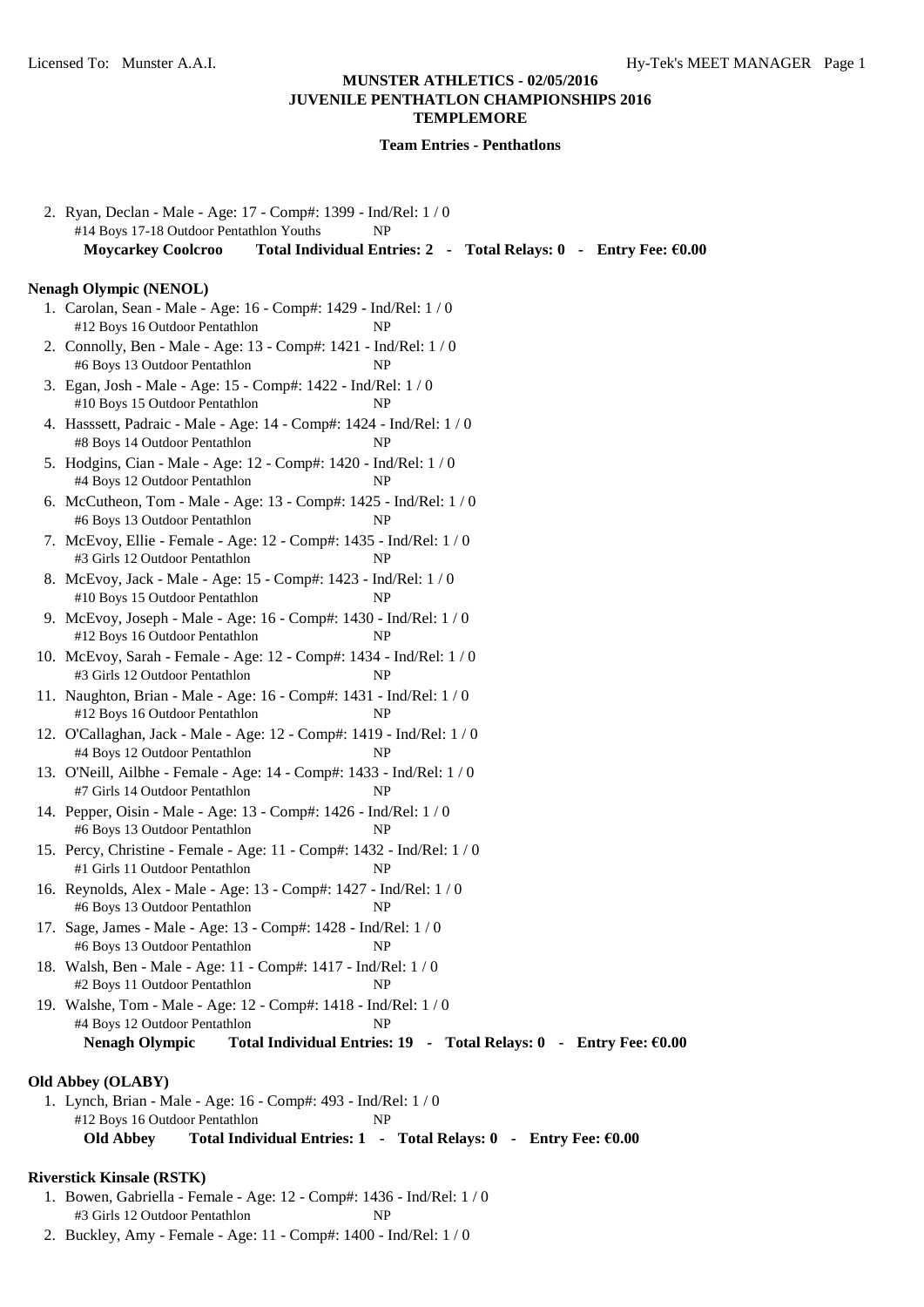| 2. Ryan, Declan - Male - Age: 17 - Comp#: 1399 - Ind/Rel: 1 / 0<br>#14 Boys 17-18 Outdoor Pentathlon Youths<br>NP                |
|----------------------------------------------------------------------------------------------------------------------------------|
| Total Individual Entries: 2 - Total Relays: 0 - Entry Fee: €0.00<br><b>Moycarkey Coolcroo</b>                                    |
| <b>Nenagh Olympic (NENOL)</b>                                                                                                    |
| 1. Carolan, Sean - Male - Age: 16 - Comp#: 1429 - Ind/Rel: 1 / 0<br>#12 Boys 16 Outdoor Pentathlon<br>NP                         |
| 2. Connolly, Ben - Male - Age: 13 - Comp#: 1421 - Ind/Rel: 1 / 0<br>#6 Boys 13 Outdoor Pentathlon<br>NP                          |
| 3. Egan, Josh - Male - Age: 15 - Comp#: 1422 - Ind/Rel: 1 / 0<br>#10 Boys 15 Outdoor Pentathlon<br>NP                            |
| 4. Hasssett, Padraic - Male - Age: 14 - Comp#: 1424 - Ind/Rel: 1/0<br>#8 Boys 14 Outdoor Pentathlon<br>NP                        |
| 5. Hodgins, Cian - Male - Age: 12 - Comp#: 1420 - Ind/Rel: 1 / 0<br>#4 Boys 12 Outdoor Pentathlon<br>NP                          |
| 6. McCutheon, Tom - Male - Age: 13 - Comp#: 1425 - Ind/Rel: 1/0<br>#6 Boys 13 Outdoor Pentathlon<br>NP                           |
| 7. McEvoy, Ellie - Female - Age: 12 - Comp#: 1435 - Ind/Rel: 1 / 0<br>#3 Girls 12 Outdoor Pentathlon<br>NP                       |
| 8. McEvoy, Jack - Male - Age: 15 - Comp#: 1423 - Ind/Rel: 1 / 0<br>#10 Boys 15 Outdoor Pentathlon<br>NP                          |
| 9. McEvoy, Joseph - Male - Age: 16 - Comp#: 1430 - Ind/Rel: 1/0<br>#12 Boys 16 Outdoor Pentathlon<br>NP                          |
| 10. McEvoy, Sarah - Female - Age: 12 - Comp#: 1434 - Ind/Rel: 1 / 0<br>#3 Girls 12 Outdoor Pentathlon<br>NP                      |
| 11. Naughton, Brian - Male - Age: 16 - Comp#: 1431 - Ind/Rel: 1 / 0<br>#12 Boys 16 Outdoor Pentathlon<br>NP                      |
| 12. O'Callaghan, Jack - Male - Age: 12 - Comp#: 1419 - Ind/Rel: 1/0<br>#4 Boys 12 Outdoor Pentathlon<br>NP                       |
| 13. O'Neill, Ailbhe - Female - Age: 14 - Comp#: 1433 - Ind/Rel: 1 / 0<br>#7 Girls 14 Outdoor Pentathlon<br>NP                    |
| 14. Pepper, Oisin - Male - Age: 13 - Comp#: 1426 - Ind/Rel: 1/0<br>#6 Boys 13 Outdoor Pentathlon<br>NP                           |
| 15. Percy, Christine - Female - Age: 11 - Comp#: 1432 - Ind/Rel: 1/0<br>#1 Girls 11 Outdoor Pentathlon<br>NP                     |
| 16. Reynolds, Alex - Male - Age: 13 - Comp#: 1427 - Ind/Rel: 1 / 0<br>#6 Boys 13 Outdoor Pentathlon<br>NP                        |
| 17. Sage, James - Male - Age: 13 - Comp#: 1428 - Ind/Rel: 1 / 0<br>#6 Boys 13 Outdoor Pentathlon<br>NP                           |
| 18. Walsh, Ben - Male - Age: 11 - Comp#: 1417 - Ind/Rel: 1 / 0<br>#2 Boys 11 Outdoor Pentathlon<br>NP                            |
| 19. Walshe, Tom - Male - Age: 12 - Comp#: 1418 - Ind/Rel: 1 / 0<br>#4 Boys 12 Outdoor Pentathlon<br>NP                           |
| <b>Nenagh Olympic</b><br>Total Individual Entries: $19 - \text{Total delays: } 0 - \text{Entry Free: } \text{\textsterling}0.00$ |
| <b>Old Abbey (OLABY)</b>                                                                                                         |
| 1. Lynch, Brian - Male - Age: 16 - Comp#: 493 - Ind/Rel: 1/0                                                                     |
| #12 Boys 16 Outdoor Pentathlon<br>NP<br><b>Old Abbey</b><br>Total Individual Entries: 1 - Total Relays: 0 - Entry Fee: €0.00     |
|                                                                                                                                  |
| <b>Riverstick Kinsale (RSTK)</b><br>1. Bowen, Gabriella - Female - Age: 12 - Comp#: 1436 - Ind/Rel: 1 / 0                        |
| #3 Girls 12 Outdoor Pentathlon<br>NP                                                                                             |
| 2. Buckley, Amy - Female - Age: 11 - Comp#: 1400 - Ind/Rel: 1 / 0                                                                |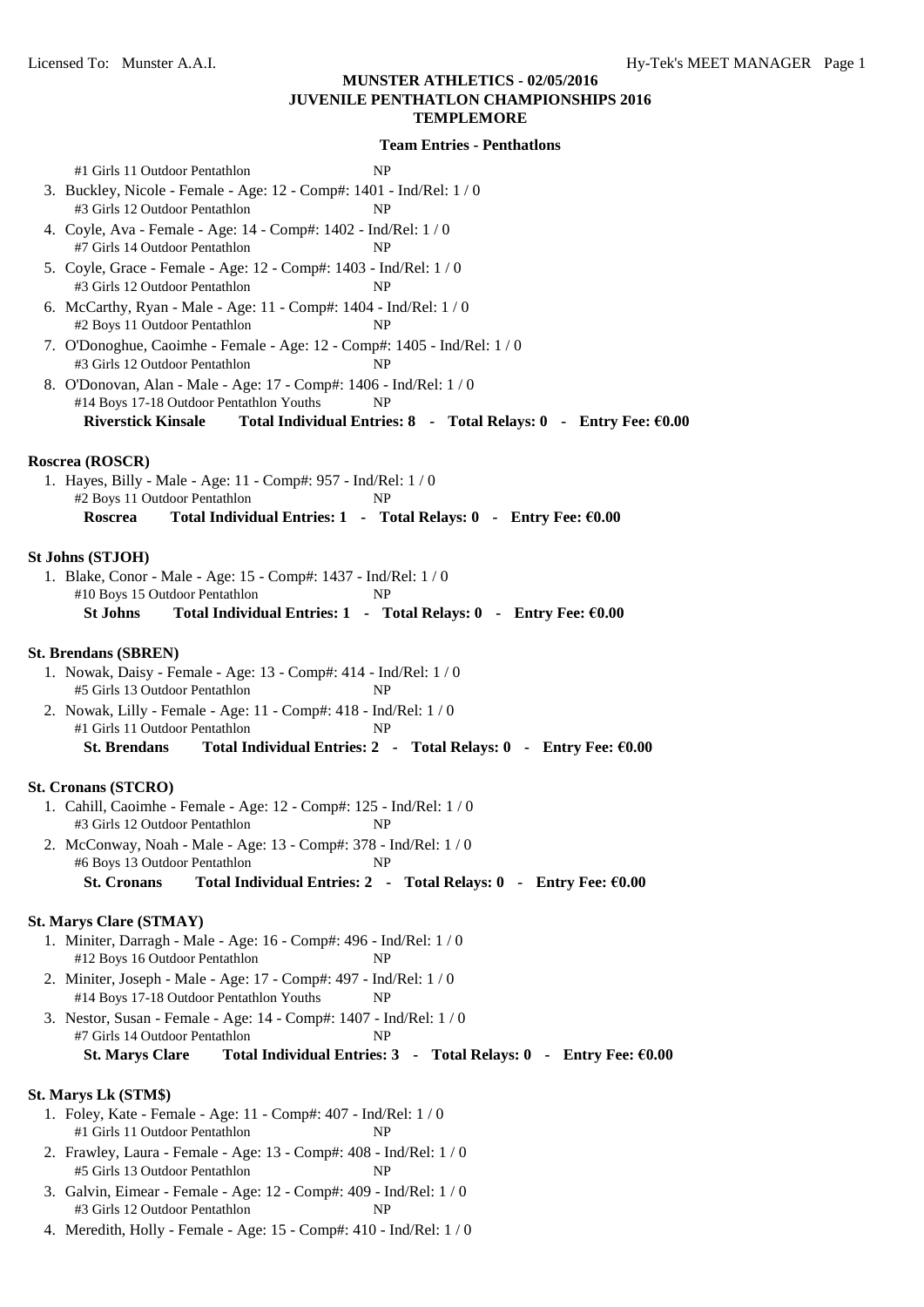| #1 Girls 11 Outdoor Pentathlon<br><b>NP</b>                                                                                        |
|------------------------------------------------------------------------------------------------------------------------------------|
| 3. Buckley, Nicole - Female - Age: 12 - Comp#: 1401 - Ind/Rel: 1 / 0                                                               |
| #3 Girls 12 Outdoor Pentathlon<br>NP                                                                                               |
| 4. Coyle, Ava - Female - Age: 14 - Comp#: 1402 - Ind/Rel: 1 / 0<br>#7 Girls 14 Outdoor Pentathlon<br>NP                            |
| 5. Coyle, Grace - Female - Age: 12 - Comp#: 1403 - Ind/Rel: 1 / 0<br>#3 Girls 12 Outdoor Pentathlon<br>NP                          |
| 6. McCarthy, Ryan - Male - Age: 11 - Comp#: 1404 - Ind/Rel: 1 / 0<br>#2 Boys 11 Outdoor Pentathlon<br>NP                           |
| 7. O'Donoghue, Caoimhe - Female - Age: 12 - Comp#: 1405 - Ind/Rel: 1 / 0<br>#3 Girls 12 Outdoor Pentathlon<br>NP                   |
| 8. O'Donovan, Alan - Male - Age: 17 - Comp#: 1406 - Ind/Rel: 1 / 0<br>#14 Boys 17-18 Outdoor Pentathlon Youths<br>NP               |
| <b>Riverstick Kinsale</b><br>Total Individual Entries: 8 - Total Relays: 0 - Entry Fee: €0.00                                      |
| Roscrea (ROSCR)                                                                                                                    |
| 1. Hayes, Billy - Male - Age: 11 - Comp#: 957 - Ind/Rel: 1 / 0<br>#2 Boys 11 Outdoor Pentathlon<br>NP                              |
| Roscrea<br>Total Individual Entries: 1 - Total Relays: 0 - Entry Fee: €0.00                                                        |
| <b>St Johns (STJOH)</b>                                                                                                            |
| 1. Blake, Conor - Male - Age: 15 - Comp#: 1437 - Ind/Rel: 1 / 0                                                                    |
| #10 Boys 15 Outdoor Pentathlon<br>NP                                                                                               |
| <b>St Johns</b><br>Total Individual Entries: 1 - Total Relays: 0 - Entry Fee: €0.00                                                |
| <b>St. Brendans (SBREN)</b>                                                                                                        |
| 1. Nowak, Daisy - Female - Age: 13 - Comp#: 414 - Ind/Rel: 1 / 0<br>#5 Girls 13 Outdoor Pentathlon<br>NP                           |
| 2. Nowak, Lilly - Female - Age: 11 - Comp#: 418 - Ind/Rel: 1 / 0                                                                   |
| #1 Girls 11 Outdoor Pentathlon<br>NP                                                                                               |
| <b>St. Brendans</b><br>Total Individual Entries: 2 - Total Relays: 0 - Entry Fee: €0.00                                            |
| <b>St. Cronans (STCRO)</b>                                                                                                         |
| 1. Cahill, Caoimhe - Female - Age: 12 - Comp#: 125 - Ind/Rel: 1 / 0<br>#3 Girls 12 Outdoor Pentathlon<br><b>NP</b>                 |
| 2. McConway, Noah - Male - Age: 13 - Comp#: 378 - Ind/Rel: $1/0$                                                                   |
| #6 Boys 13 Outdoor Pentathlon<br>NP<br><b>St. Cronans</b><br>Total Individual Entries: 2 - Total Relays: 0 - Entry Fee: €0.00      |
|                                                                                                                                    |
| <b>St. Marys Clare (STMAY)</b>                                                                                                     |
| 1. Miniter, Darragh - Male - Age: 16 - Comp#: 496 - Ind/Rel: 1 / 0<br>#12 Boys 16 Outdoor Pentathlon<br>NP                         |
| 2. Miniter, Joseph - Male - Age: 17 - Comp#: 497 - Ind/Rel: 1 / 0<br>#14 Boys 17-18 Outdoor Pentathlon Youths<br>NP                |
| 3. Nestor, Susan - Female - Age: 14 - Comp#: 1407 - Ind/Rel: 1 / 0                                                                 |
| #7 Girls 14 Outdoor Pentathlon<br>NP<br><b>St. Marys Clare</b><br>Total Individual Entries: 3 - Total Relays: 0 - Entry Fee: €0.00 |
|                                                                                                                                    |
| St. Marys Lk (STM\$)<br>1. Foley, Kate - Female - Age: 11 - Comp#: 407 - Ind/Rel: 1 / 0                                            |
| #1 Girls 11 Outdoor Pentathlon<br>NP                                                                                               |
| 2. Frawley, Laura - Female - Age: 13 - Comp#: 408 - Ind/Rel: 1 / 0<br><b>NP</b>                                                    |
| #5 Girls 13 Outdoor Pentathlon                                                                                                     |

- 3. Galvin, Eimear Female Age: 12 Comp#: 409 Ind/Rel: 1 / 0 #3 Girls 12 Outdoor Pentathlon NP
- 4. Meredith, Holly Female Age: 15 Comp#: 410 Ind/Rel: 1 / 0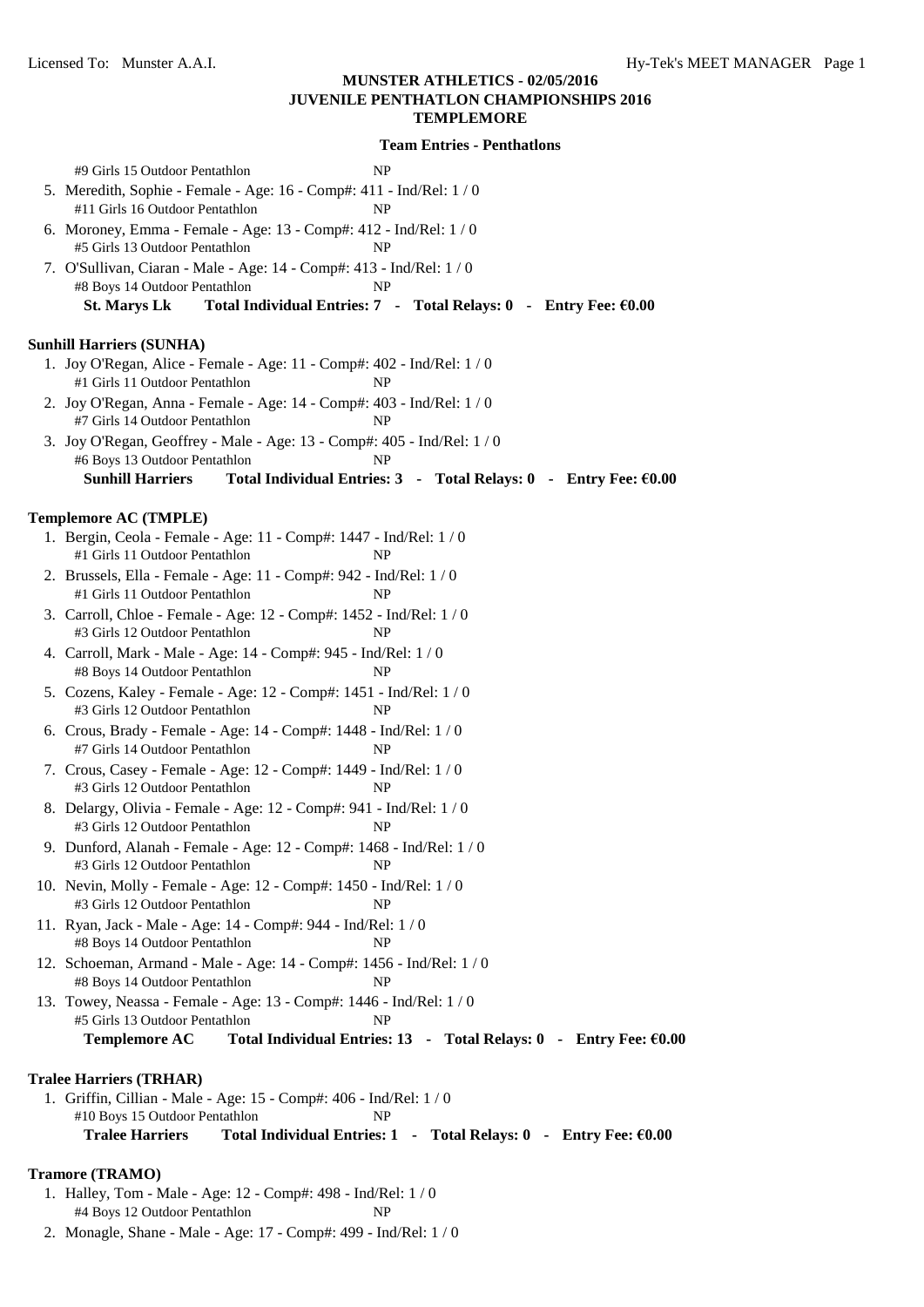| #9 Girls 15 Outdoor Pentathlon<br>NP<br>5. Meredith, Sophie - Female - Age: 16 - Comp#: 411 - Ind/Rel: 1 / 0<br>#11 Girls 16 Outdoor Pentathlon<br>NP |
|-------------------------------------------------------------------------------------------------------------------------------------------------------|
| 6. Moroney, Emma - Female - Age: 13 - Comp#: 412 - Ind/Rel: 1 / 0<br>#5 Girls 13 Outdoor Pentathlon<br>NP                                             |
| 7. O'Sullivan, Ciaran - Male - Age: 14 - Comp#: 413 - Ind/Rel: 1/0<br>#8 Boys 14 Outdoor Pentathlon<br>NP                                             |
| <b>St. Marys Lk</b><br>Total Individual Entries: 7 - Total Relays: 0 - Entry Fee: €0.00                                                               |
| <b>Sunhill Harriers (SUNHA)</b>                                                                                                                       |
| 1. Joy O'Regan, Alice - Female - Age: 11 - Comp#: 402 - Ind/Rel: 1 / 0<br>#1 Girls 11 Outdoor Pentathlon<br>NP                                        |
| 2. Joy O'Regan, Anna - Female - Age: 14 - Comp#: 403 - Ind/Rel: 1 / 0<br>#7 Girls 14 Outdoor Pentathlon<br>NP                                         |
| 3. Joy O'Regan, Geoffrey - Male - Age: 13 - Comp#: 405 - Ind/Rel: 1 / 0<br>#6 Boys 13 Outdoor Pentathlon<br>NP                                        |
| <b>Sunhill Harriers</b><br>Total Individual Entries: 3 - Total Relays: 0 - Entry Fee: €0.00                                                           |
| Templemore AC (TMPLE)                                                                                                                                 |
| 1. Bergin, Ceola - Female - Age: 11 - Comp#: 1447 - Ind/Rel: 1 / 0                                                                                    |
| #1 Girls 11 Outdoor Pentathlon<br>NP                                                                                                                  |
| 2. Brussels, Ella - Female - Age: 11 - Comp#: 942 - Ind/Rel: 1 / 0<br>#1 Girls 11 Outdoor Pentathlon<br>NP                                            |
| 3. Carroll, Chloe - Female - Age: 12 - Comp#: 1452 - Ind/Rel: 1 / 0<br>#3 Girls 12 Outdoor Pentathlon<br>NP                                           |
| 4. Carroll, Mark - Male - Age: 14 - Comp#: 945 - Ind/Rel: 1 / 0<br>#8 Boys 14 Outdoor Pentathlon<br>NP                                                |
| 5. Cozens, Kaley - Female - Age: 12 - Comp#: 1451 - Ind/Rel: 1 / 0<br>#3 Girls 12 Outdoor Pentathlon<br>NP                                            |
| 6. Crous, Brady - Female - Age: 14 - Comp#: 1448 - Ind/Rel: 1 / 0<br>#7 Girls 14 Outdoor Pentathlon<br>NP                                             |
| 7. Crous, Casey - Female - Age: 12 - Comp#: 1449 - Ind/Rel: 1 / 0<br>#3 Girls 12 Outdoor Pentathlon<br>NP                                             |
| 8. Delargy, Olivia - Female - Age: 12 - Comp#: 941 - Ind/Rel: 1 / 0<br>#3 Girls 12 Outdoor Pentathlon<br>NP                                           |
| 9. Dunford, Alanah - Female - Age: 12 - Comp#: 1468 - Ind/Rel: $1/0$<br>#3 Girls 12 Outdoor Pentathlon<br>NP                                          |
| 10. Nevin, Molly - Female - Age: 12 - Comp#: 1450 - Ind/Rel: 1 / 0<br>#3 Girls 12 Outdoor Pentathlon<br>NP                                            |
| 11. Ryan, Jack - Male - Age: 14 - Comp#: 944 - Ind/Rel: 1 / 0<br>#8 Boys 14 Outdoor Pentathlon<br>NP                                                  |
| 12. Schoeman, Armand - Male - Age: 14 - Comp#: 1456 - Ind/Rel: 1/0<br>#8 Boys 14 Outdoor Pentathlon<br>NP                                             |
| 13. Towey, Neassa - Female - Age: 13 - Comp#: 1446 - Ind/Rel: 1/0<br>#5 Girls 13 Outdoor Pentathlon<br>NP                                             |
| <b>Templemore AC</b><br>Total Individual Entries: 13 - Total Relays: 0 - Entry Fee: €0.00                                                             |
| <b>Tralee Harriers (TRHAR)</b>                                                                                                                        |
| 1. Griffin, Cillian - Male - Age: 15 - Comp#: 406 - Ind/Rel: 1/0                                                                                      |
| #10 Boys 15 Outdoor Pentathlon<br>NP                                                                                                                  |
| <b>Tralee Harriers</b><br>Total Individual Entries: 1 - Total Relays: 0 - Entry Fee: €0.00                                                            |
|                                                                                                                                                       |
| <b>Tramore (TRAMO)</b><br>1. Halley, Tom - Male - Age: 12 - Comp#: 498 - Ind/Rel: 1 / 0                                                               |
| #4 Boys 12 Outdoor Pentathlon<br>NP                                                                                                                   |
| 2. Monagle, Shane - Male - Age: 17 - Comp#: 499 - Ind/Rel: 1 / 0                                                                                      |